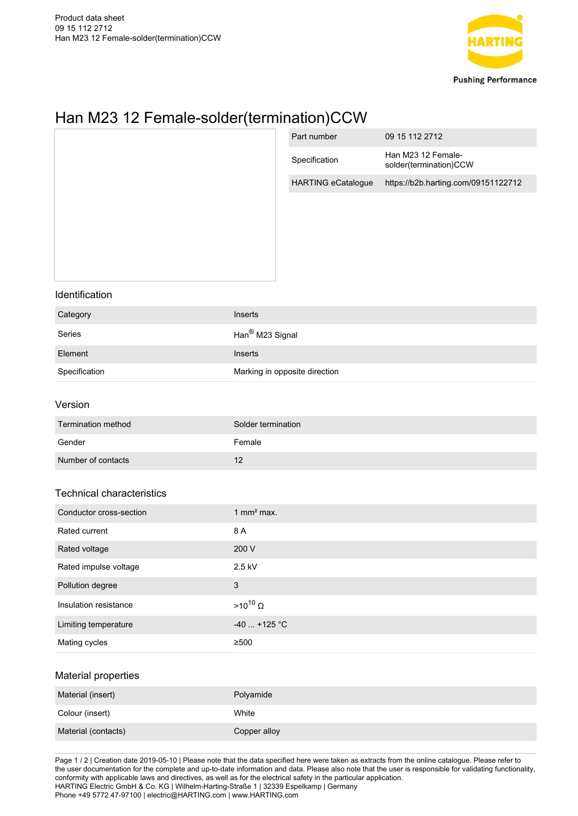

## Han M23 12 Female-solder(termination)CCW

|                             | Part number               | 09 15 112 2712                                                                                            |
|-----------------------------|---------------------------|-----------------------------------------------------------------------------------------------------------|
|                             | Specification             | Han M23 12 Female-<br>solder(termination)CCW                                                              |
|                             | <b>HARTING eCatalogue</b> | https://b2b.harting.com/09151122712                                                                       |
|                             |                           |                                                                                                           |
|                             |                           |                                                                                                           |
| Inserts                     |                           |                                                                                                           |
|                             |                           |                                                                                                           |
| Inserts                     |                           |                                                                                                           |
|                             |                           |                                                                                                           |
|                             |                           |                                                                                                           |
|                             |                           |                                                                                                           |
| Female                      |                           |                                                                                                           |
| 12                          |                           |                                                                                                           |
|                             |                           |                                                                                                           |
| 1 mm $2$ max.               |                           |                                                                                                           |
| 8 A                         |                           |                                                                                                           |
| 200 V                       |                           |                                                                                                           |
| $2.5$ kV                    |                           |                                                                                                           |
| $\mathbf{3}$                |                           |                                                                                                           |
| $\mathsf{>10^{10}}\,\Omega$ |                           |                                                                                                           |
|                             |                           |                                                                                                           |
| $\geq 500$                  |                           |                                                                                                           |
|                             |                           |                                                                                                           |
| Polyamide                   |                           |                                                                                                           |
| White                       |                           |                                                                                                           |
| Copper alloy                |                           |                                                                                                           |
|                             |                           | Han <sup>®</sup> M23 Signal<br>Marking in opposite direction<br>Solder termination<br>-40 $\dots$ +125 °C |

Page 1 / 2 | Creation date 2019-05-10 | Please note that the data specified here were taken as extracts from the online catalogue. Please refer to the user documentation for the complete and up-to-date information and data. Please also note that the user is responsible for validating functionality, conformity with applicable laws and directives, as well as for the electrical safety in the particular application. HARTING Electric GmbH & Co. KG | Wilhelm-Harting-Straße 1 | 32339 Espelkamp | Germany Phone +49 5772 47-97100 | electric@HARTING.com | www.HARTING.com